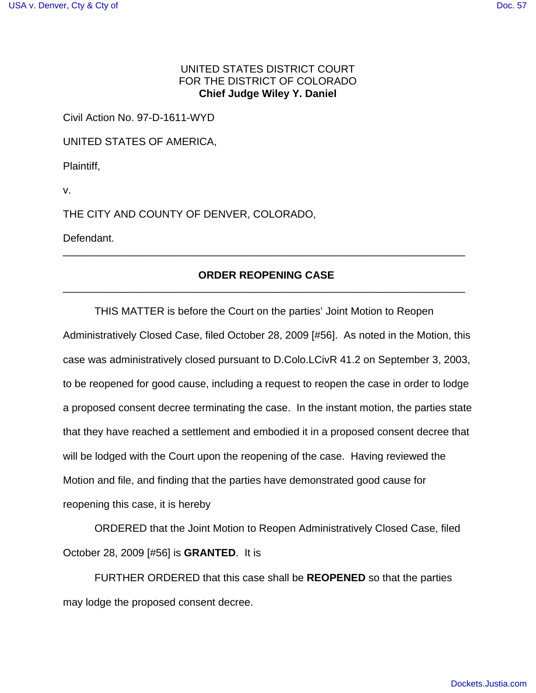## UNITED STATES DISTRICT COURT FOR THE DISTRICT OF COLORADO **Chief Judge Wiley Y. Daniel**

Civil Action No. 97-D-1611-WYD

UNITED STATES OF AMERICA,

Plaintiff,

v.

THE CITY AND COUNTY OF DENVER, COLORADO,

Defendant.

## **ORDER REOPENING CASE** \_\_\_\_\_\_\_\_\_\_\_\_\_\_\_\_\_\_\_\_\_\_\_\_\_\_\_\_\_\_\_\_\_\_\_\_\_\_\_\_\_\_\_\_\_\_\_\_\_\_\_\_\_\_\_\_\_\_\_\_\_\_\_\_\_\_\_\_\_

\_\_\_\_\_\_\_\_\_\_\_\_\_\_\_\_\_\_\_\_\_\_\_\_\_\_\_\_\_\_\_\_\_\_\_\_\_\_\_\_\_\_\_\_\_\_\_\_\_\_\_\_\_\_\_\_\_\_\_\_\_\_\_\_\_\_\_\_\_

THIS MATTER is before the Court on the parties' Joint Motion to Reopen Administratively Closed Case, filed October 28, 2009 [#56]. As noted in the Motion, this case was administratively closed pursuant to D.Colo.LCivR 41.2 on September 3, 2003, to be reopened for good cause, including a request to reopen the case in order to lodge a proposed consent decree terminating the case. In the instant motion, the parties state that they have reached a settlement and embodied it in a proposed consent decree that will be lodged with the Court upon the reopening of the case. Having reviewed the Motion and file, and finding that the parties have demonstrated good cause for reopening this case, it is hereby

ORDERED that the Joint Motion to Reopen Administratively Closed Case, filed October 28, 2009 [#56] is **GRANTED**. It is

FURTHER ORDERED that this case shall be **REOPENED** so that the parties may lodge the proposed consent decree.